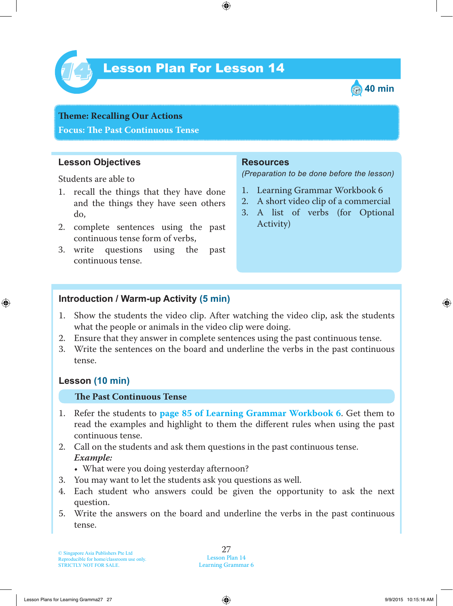

# Lesson Plan For Lesson 14 *14*



**Theme: Recalling Our Actions Focus: Te Past Continuous Tense**

## **Lesson Objectives**

Students are able to

- 1. recall the things that they have done and the things they have seen others do,
- 2. complete sentences using the past continuous tense form of verbs,
- 3. write questions using the past continuous tense.

## **Resources**

*(Preparation to be done before the lesson)*

- 1. Learning Grammar Workbook 6
- 2. A short video clip of a commercial
- 3. A list of verbs (for Optional Activity)

## **Introduction / Warm-up Activity (5 min)**

- 1. Show the students the video clip. After watching the video clip, ask the students what the people or animals in the video clip were doing.
- 2. Ensure that they answer in complete sentences using the past continuous tense.
- 3. Write the sentences on the board and underline the verbs in the past continuous tense.

# **Lesson (10 min)**

#### **Te Past Continuous Tense**

- 1 . Refer the students to **page 85 of Learning Grammar Workbook 6** . Get them to read the examples and highlight to them the different rules when using the past continuous tense.
- 2. Call on the students and ask them questions in the past continuous tense.  *Example:*

• What were you doing yesterday afternoon?

- 3. You may want to let the students ask you questions as well.
- 4. Each student who answers could be given the opportunity to ask the next question.
- 5. Write the answers on the board and underline the verbs in the past continuous tense.